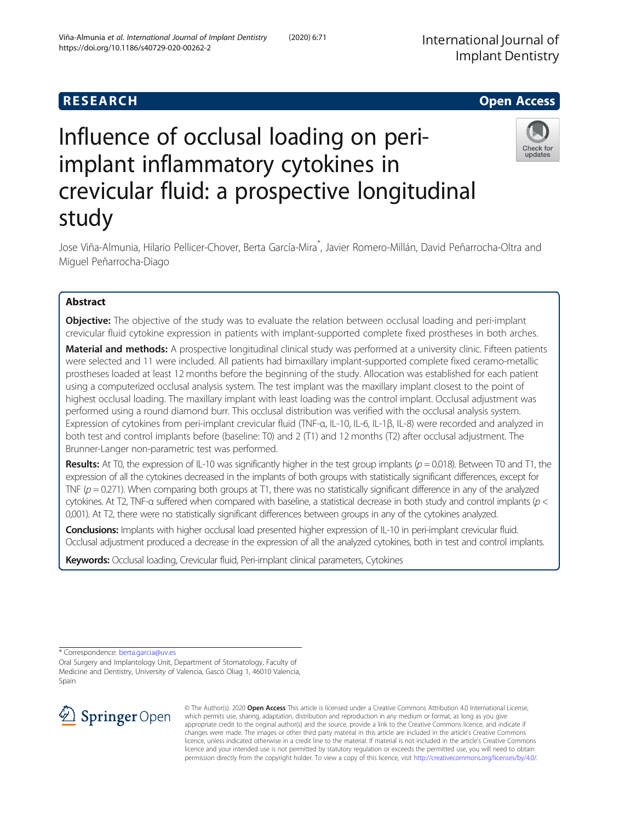**RESEARCH CHILD CONTROL** CONTROL CONTROL CONTROL CONTROL CONTROL CONTROL CONTROL CONTROL CONTROL CONTROL CONTROL

International Journal of Implant Dentistry



# Influence of occlusal loading on periimplant inflammatory cytokines in crevicular fluid: a prospective longitudinal study

Jose Viña-Almunia, Hilario Pellicer-Chover, Berta García-Mira\* , Javier Romero-Millán, David Peñarrocha-Oltra and Miguel Peñarrocha-Diago

# Abstract

**Objective:** The objective of the study was to evaluate the relation between occlusal loading and peri-implant crevicular fluid cytokine expression in patients with implant-supported complete fixed prostheses in both arches.

Material and methods: A prospective longitudinal clinical study was performed at a university clinic. Fifteen patients were selected and 11 were included. All patients had bimaxillary implant-supported complete fixed ceramo-metallic prostheses loaded at least 12 months before the beginning of the study. Allocation was established for each patient using a computerized occlusal analysis system. The test implant was the maxillary implant closest to the point of highest occlusal loading. The maxillary implant with least loading was the control implant. Occlusal adjustment was performed using a round diamond burr. This occlusal distribution was verified with the occlusal analysis system. Expression of cytokines from peri-implant crevicular fluid (TNF-α, IL-10, IL-6, IL-1β, IL-8) were recorded and analyzed in both test and control implants before (baseline: T0) and 2 (T1) and 12 months (T2) after occlusal adjustment. The Brunner-Langer non-parametric test was performed.

**Results:** At T0, the expression of IL-10 was significantly higher in the test group implants ( $p = 0.018$ ). Between T0 and T1, the expression of all the cytokines decreased in the implants of both groups with statistically significant differences, except for TNF ( $p = 0.271$ ). When comparing both groups at T1, there was no statistically significant difference in any of the analyzed cytokines. At T2, TNF-α suffered when compared with baseline, a statistical decrease in both study and control implants (p < 0,001). At T2, there were no statistically significant differences between groups in any of the cytokines analyzed.

Conclusions: Implants with higher occlusal load presented higher expression of IL-10 in peri-implant crevicular fluid. Occlusal adjustment produced a decrease in the expression of all the analyzed cytokines, both in test and control implants.

Keywords: Occlusal loading, Crevicular fluid, Peri-implant clinical parameters, Cytokines

\* Correspondence: [berta.garcia@uv.es](mailto:berta.garcia@uv.es)

Oral Surgery and Implantology Unit, Department of Stomatology, Faculty of Medicine and Dentistry, University of Valencia, Gascó Oliag 1, 46010 Valencia, Spain



© The Author(s). 2020 Open Access This article is licensed under a Creative Commons Attribution 4.0 International License, which permits use, sharing, adaptation, distribution and reproduction in any medium or format, as long as you give appropriate credit to the original author(s) and the source, provide a link to the Creative Commons licence, and indicate if changes were made. The images or other third party material in this article are included in the article's Creative Commons licence, unless indicated otherwise in a credit line to the material. If material is not included in the article's Creative Commons licence and your intended use is not permitted by statutory regulation or exceeds the permitted use, you will need to obtain permission directly from the copyright holder. To view a copy of this licence, visit <http://creativecommons.org/licenses/by/4.0/>.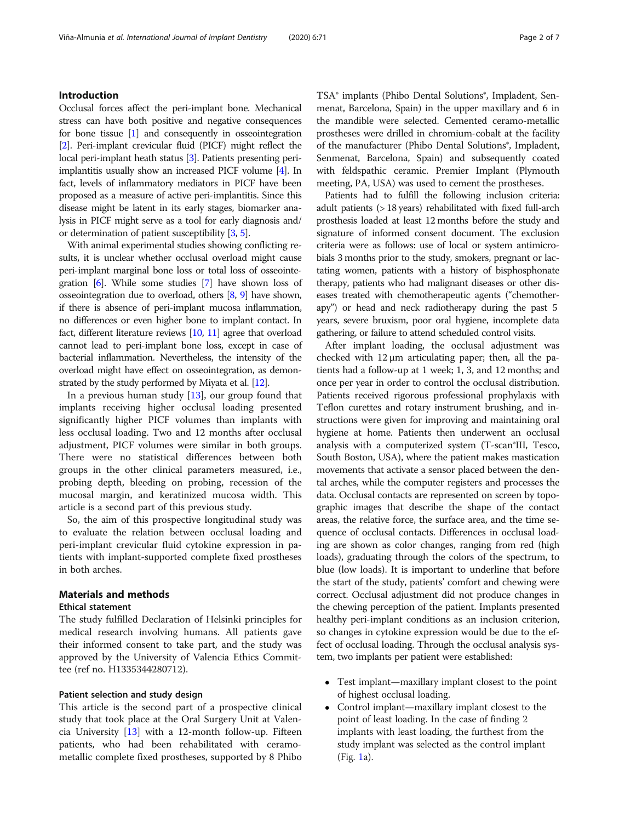# Introduction

Occlusal forces affect the peri-implant bone. Mechanical stress can have both positive and negative consequences for bone tissue [\[1](#page-6-0)] and consequently in osseointegration [[2](#page-6-0)]. Peri-implant crevicular fluid (PICF) might reflect the local peri-implant heath status [\[3\]](#page-6-0). Patients presenting periimplantitis usually show an increased PICF volume [[4](#page-6-0)]. In fact, levels of inflammatory mediators in PICF have been proposed as a measure of active peri-implantitis. Since this disease might be latent in its early stages, biomarker analysis in PICF might serve as a tool for early diagnosis and/ or determination of patient susceptibility [\[3,](#page-6-0) [5\]](#page-6-0).

With animal experimental studies showing conflicting results, it is unclear whether occlusal overload might cause peri-implant marginal bone loss or total loss of osseointegration [\[6](#page-6-0)]. While some studies [\[7\]](#page-6-0) have shown loss of osseointegration due to overload, others [\[8,](#page-6-0) [9\]](#page-6-0) have shown, if there is absence of peri-implant mucosa inflammation, no differences or even higher bone to implant contact. In fact, different literature reviews [\[10](#page-6-0), [11\]](#page-6-0) agree that overload cannot lead to peri-implant bone loss, except in case of bacterial inflammation. Nevertheless, the intensity of the overload might have effect on osseointegration, as demonstrated by the study performed by Miyata et al. [\[12\]](#page-6-0).

In a previous human study  $[13]$  $[13]$ , our group found that implants receiving higher occlusal loading presented significantly higher PICF volumes than implants with less occlusal loading. Two and 12 months after occlusal adjustment, PICF volumes were similar in both groups. There were no statistical differences between both groups in the other clinical parameters measured, i.e., probing depth, bleeding on probing, recession of the mucosal margin, and keratinized mucosa width. This article is a second part of this previous study.

So, the aim of this prospective longitudinal study was to evaluate the relation between occlusal loading and peri-implant crevicular fluid cytokine expression in patients with implant-supported complete fixed prostheses in both arches.

# Materials and methods

# Ethical statement

The study fulfilled Declaration of Helsinki principles for medical research involving humans. All patients gave their informed consent to take part, and the study was approved by the University of Valencia Ethics Committee (ref no. H1335344280712).

#### Patient selection and study design

This article is the second part of a prospective clinical study that took place at the Oral Surgery Unit at Valencia University [\[13\]](#page-6-0) with a 12-month follow-up. Fifteen patients, who had been rehabilitated with ceramometallic complete fixed prostheses, supported by 8 Phibo TSA® implants (Phibo Dental Solutions®, Impladent, Senmenat, Barcelona, Spain) in the upper maxillary and 6 in the mandible were selected. Cemented ceramo-metallic prostheses were drilled in chromium-cobalt at the facility of the manufacturer (Phibo Dental Solutions<sup>®</sup>, Impladent, Senmenat, Barcelona, Spain) and subsequently coated with feldspathic ceramic. Premier Implant (Plymouth meeting, PA, USA) was used to cement the prostheses.

Patients had to fulfill the following inclusion criteria: adult patients (> 18 years) rehabilitated with fixed full-arch prosthesis loaded at least 12 months before the study and signature of informed consent document. The exclusion criteria were as follows: use of local or system antimicrobials 3 months prior to the study, smokers, pregnant or lactating women, patients with a history of bisphosphonate therapy, patients who had malignant diseases or other diseases treated with chemotherapeutic agents ("chemotherapy") or head and neck radiotherapy during the past 5 years, severe bruxism, poor oral hygiene, incomplete data gathering, or failure to attend scheduled control visits.

After implant loading, the occlusal adjustment was checked with 12 μm articulating paper; then, all the patients had a follow-up at 1 week; 1, 3, and 12 months; and once per year in order to control the occlusal distribution. Patients received rigorous professional prophylaxis with Teflon curettes and rotary instrument brushing, and instructions were given for improving and maintaining oral hygiene at home. Patients then underwent an occlusal analysis with a computerized system (T-scan®III, Tesco, South Boston, USA), where the patient makes mastication movements that activate a sensor placed between the dental arches, while the computer registers and processes the data. Occlusal contacts are represented on screen by topographic images that describe the shape of the contact areas, the relative force, the surface area, and the time sequence of occlusal contacts. Differences in occlusal loading are shown as color changes, ranging from red (high loads), graduating through the colors of the spectrum, to blue (low loads). It is important to underline that before the start of the study, patients' comfort and chewing were correct. Occlusal adjustment did not produce changes in the chewing perception of the patient. Implants presented healthy peri-implant conditions as an inclusion criterion, so changes in cytokine expression would be due to the effect of occlusal loading. Through the occlusal analysis system, two implants per patient were established:

- Test implant—maxillary implant closest to the point of highest occlusal loading.
- Control implant—maxillary implant closest to the point of least loading. In the case of finding 2 implants with least loading, the furthest from the study implant was selected as the control implant (Fig. [1a](#page-2-0)).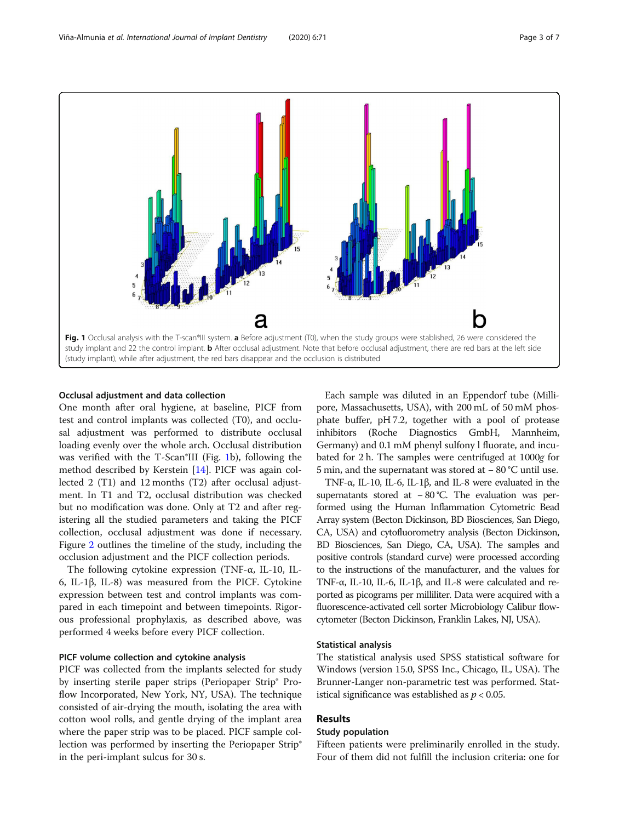<span id="page-2-0"></span>

#### Occlusal adjustment and data collection

One month after oral hygiene, at baseline, PICF from test and control implants was collected (T0), and occlusal adjustment was performed to distribute occlusal loading evenly over the whole arch. Occlusal distribution was verified with the T-Scan®III (Fig. 1b), following the method described by Kerstein [\[14\]](#page-6-0). PICF was again collected 2 (T1) and 12 months (T2) after occlusal adjustment. In T1 and T2, occlusal distribution was checked but no modification was done. Only at T2 and after registering all the studied parameters and taking the PICF collection, occlusal adjustment was done if necessary. Figure [2](#page-3-0) outlines the timeline of the study, including the occlusion adjustment and the PICF collection periods.

The following cytokine expression (TNF-α, IL-10, IL-6, IL-1β, IL-8) was measured from the PICF. Cytokine expression between test and control implants was compared in each timepoint and between timepoints. Rigorous professional prophylaxis, as described above, was performed 4 weeks before every PICF collection.

# PICF volume collection and cytokine analysis

PICF was collected from the implants selected for study by inserting sterile paper strips (Periopaper Strip® Proflow Incorporated, New York, NY, USA). The technique consisted of air-drying the mouth, isolating the area with cotton wool rolls, and gentle drying of the implant area where the paper strip was to be placed. PICF sample collection was performed by inserting the Periopaper Strip® in the peri-implant sulcus for 30 s.

Each sample was diluted in an Eppendorf tube (Millipore, Massachusetts, USA), with 200 mL of 50 mM phosphate buffer, pH 7.2, together with a pool of protease inhibitors (Roche Diagnostics GmbH, Mannheim, Germany) and 0.1 mM phenyl sulfony l fluorate, and incubated for 2 h. The samples were centrifuged at 1000g for 5 min, and the supernatant was stored at − 80 °C until use.

TNF-α, IL-10, IL-6, IL-1β, and IL-8 were evaluated in the supernatants stored at −80 °C. The evaluation was performed using the Human Inflammation Cytometric Bead Array system (Becton Dickinson, BD Biosciences, San Diego, CA, USA) and cytofluorometry analysis (Becton Dickinson, BD Biosciences, San Diego, CA, USA). The samples and positive controls (standard curve) were processed according to the instructions of the manufacturer, and the values for TNF-α, IL-10, IL-6, IL-1β, and IL-8 were calculated and reported as picograms per milliliter. Data were acquired with a fluorescence-activated cell sorter Microbiology Calibur flowcytometer (Becton Dickinson, Franklin Lakes, NJ, USA).

#### Statistical analysis

The statistical analysis used SPSS statistical software for Windows (version 15.0, SPSS Inc., Chicago, IL, USA). The Brunner-Langer non-parametric test was performed. Statistical significance was established as  $p < 0.05$ .

## Results

# Study population

Fifteen patients were preliminarily enrolled in the study. Four of them did not fulfill the inclusion criteria: one for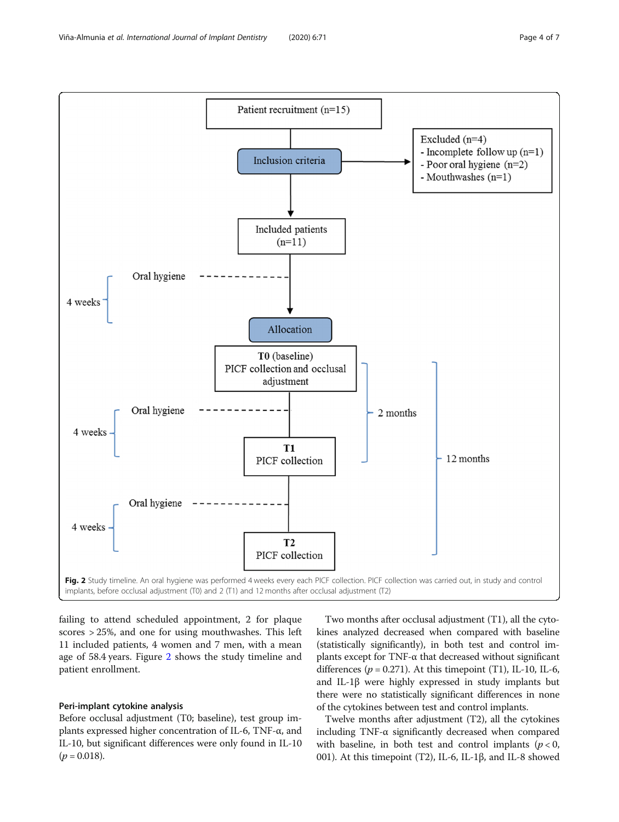<span id="page-3-0"></span>

failing to attend scheduled appointment, 2 for plaque scores > 25%, and one for using mouthwashes. This left 11 included patients, 4 women and 7 men, with a mean age of 58.4 years. Figure 2 shows the study timeline and patient enrollment.

## Peri-implant cytokine analysis

Before occlusal adjustment (T0; baseline), test group implants expressed higher concentration of IL-6, TNF-α, and IL-10, but significant differences were only found in IL-10  $(p = 0.018)$ .

Two months after occlusal adjustment (T1), all the cytokines analyzed decreased when compared with baseline (statistically significantly), in both test and control implants except for TNF-α that decreased without significant differences ( $p = 0.271$ ). At this timepoint (T1), IL-10, IL-6, and IL-1β were highly expressed in study implants but there were no statistically significant differences in none of the cytokines between test and control implants.

Twelve months after adjustment (T2), all the cytokines including TNF-α significantly decreased when compared with baseline, in both test and control implants ( $p < 0$ , 001). At this timepoint (T2), IL-6, IL-1β, and IL-8 showed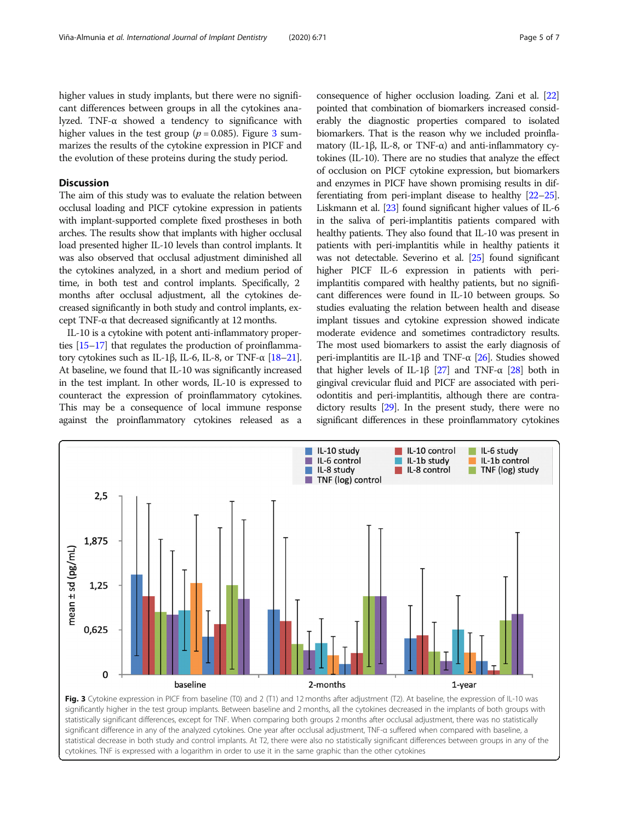higher values in study implants, but there were no significant differences between groups in all the cytokines analyzed. TNF-α showed a tendency to significance with higher values in the test group ( $p = 0.085$ ). Figure 3 summarizes the results of the cytokine expression in PICF and the evolution of these proteins during the study period.

# **Discussion**

The aim of this study was to evaluate the relation between occlusal loading and PICF cytokine expression in patients with implant-supported complete fixed prostheses in both arches. The results show that implants with higher occlusal load presented higher IL-10 levels than control implants. It was also observed that occlusal adjustment diminished all the cytokines analyzed, in a short and medium period of time, in both test and control implants. Specifically, 2 months after occlusal adjustment, all the cytokines decreased significantly in both study and control implants, except TNF-α that decreased significantly at 12 months.

IL-10 is a cytokine with potent anti-inflammatory properties [\[15](#page-6-0)–[17\]](#page-6-0) that regulates the production of proinflammatory cytokines such as IL-1β, IL-6, IL-8, or TNF- $\alpha$  [[18](#page-6-0)–[21](#page-6-0)]. At baseline, we found that IL-10 was significantly increased in the test implant. In other words, IL-10 is expressed to counteract the expression of proinflammatory cytokines. This may be a consequence of local immune response against the proinflammatory cytokines released as a consequence of higher occlusion loading. Zani et al. [\[22](#page-6-0)] pointed that combination of biomarkers increased considerably the diagnostic properties compared to isolated biomarkers. That is the reason why we included proinflamatory (IL-1β, IL-8, or TNF-α) and anti-inflammatory cytokines (IL-10). There are no studies that analyze the effect of occlusion on PICF cytokine expression, but biomarkers and enzymes in PICF have shown promising results in differentiating from peri-implant disease to healthy [[22](#page-6-0)–[25](#page-6-0)]. Liskmann et al. [[23\]](#page-6-0) found significant higher values of IL-6 in the saliva of peri-implantitis patients compared with healthy patients. They also found that IL-10 was present in patients with peri-implantitis while in healthy patients it was not detectable. Severino et al. [\[25](#page-6-0)] found significant higher PICF IL-6 expression in patients with periimplantitis compared with healthy patients, but no significant differences were found in IL-10 between groups. So studies evaluating the relation between health and disease implant tissues and cytokine expression showed indicate moderate evidence and sometimes contradictory results. The most used biomarkers to assist the early diagnosis of peri-implantitis are IL-1β and TNF- $\alpha$  [[26](#page-6-0)]. Studies showed that higher levels of IL-1β [[27](#page-6-0)] and TNF- $\alpha$  [\[28\]](#page-6-0) both in gingival crevicular fluid and PICF are associated with periodontitis and peri-implantitis, although there are contradictory results [[29](#page-6-0)]. In the present study, there were no significant differences in these proinflammatory cytokines



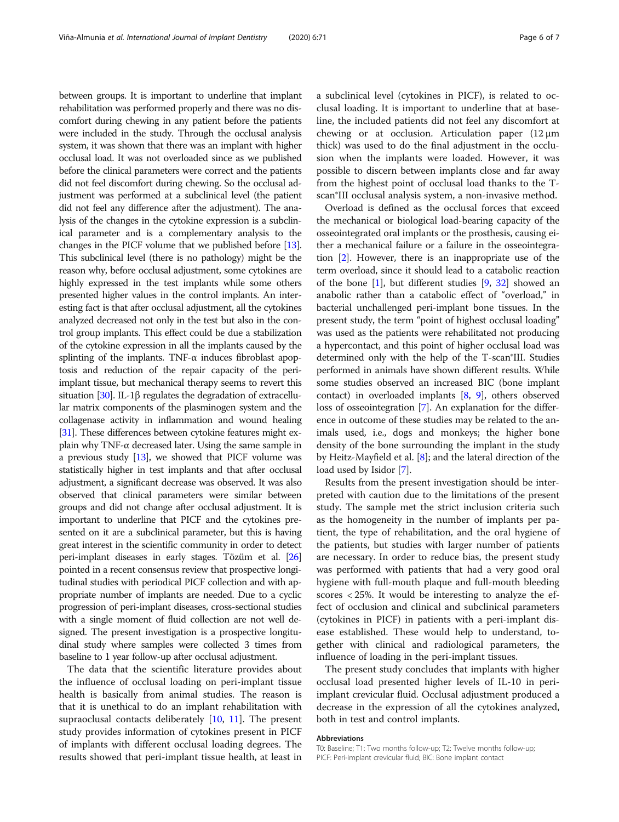between groups. It is important to underline that implant rehabilitation was performed properly and there was no discomfort during chewing in any patient before the patients were included in the study. Through the occlusal analysis system, it was shown that there was an implant with higher occlusal load. It was not overloaded since as we published before the clinical parameters were correct and the patients did not feel discomfort during chewing. So the occlusal adjustment was performed at a subclinical level (the patient did not feel any difference after the adjustment). The analysis of the changes in the cytokine expression is a subclinical parameter and is a complementary analysis to the changes in the PICF volume that we published before [\[13](#page-6-0)]. This subclinical level (there is no pathology) might be the reason why, before occlusal adjustment, some cytokines are highly expressed in the test implants while some others presented higher values in the control implants. An interesting fact is that after occlusal adjustment, all the cytokines analyzed decreased not only in the test but also in the control group implants. This effect could be due a stabilization of the cytokine expression in all the implants caused by the splinting of the implants. TNF- $\alpha$  induces fibroblast apoptosis and reduction of the repair capacity of the periimplant tissue, but mechanical therapy seems to revert this situation [\[30\]](#page-6-0). IL-1 $\beta$  regulates the degradation of extracellular matrix components of the plasminogen system and the collagenase activity in inflammation and wound healing [[31](#page-6-0)]. These differences between cytokine features might explain why TNF-α decreased later. Using the same sample in a previous study  $[13]$  $[13]$ , we showed that PICF volume was statistically higher in test implants and that after occlusal adjustment, a significant decrease was observed. It was also observed that clinical parameters were similar between groups and did not change after occlusal adjustment. It is important to underline that PICF and the cytokines presented on it are a subclinical parameter, but this is having great interest in the scientific community in order to detect peri-implant diseases in early stages. Tözüm et al. [\[26](#page-6-0)] pointed in a recent consensus review that prospective longitudinal studies with periodical PICF collection and with appropriate number of implants are needed. Due to a cyclic progression of peri-implant diseases, cross-sectional studies with a single moment of fluid collection are not well designed. The present investigation is a prospective longitudinal study where samples were collected 3 times from baseline to 1 year follow-up after occlusal adjustment.

The data that the scientific literature provides about the influence of occlusal loading on peri-implant tissue health is basically from animal studies. The reason is that it is unethical to do an implant rehabilitation with supraoclusal contacts deliberately [\[10,](#page-6-0) [11](#page-6-0)]. The present study provides information of cytokines present in PICF of implants with different occlusal loading degrees. The results showed that peri-implant tissue health, at least in a subclinical level (cytokines in PICF), is related to occlusal loading. It is important to underline that at baseline, the included patients did not feel any discomfort at chewing or at occlusion. Articulation paper (12 μm thick) was used to do the final adjustment in the occlusion when the implants were loaded. However, it was possible to discern between implants close and far away from the highest point of occlusal load thanks to the Tscan®III occlusal analysis system, a non-invasive method.

Overload is defined as the occlusal forces that exceed the mechanical or biological load-bearing capacity of the osseointegrated oral implants or the prosthesis, causing either a mechanical failure or a failure in the osseointegration [\[2](#page-6-0)]. However, there is an inappropriate use of the term overload, since it should lead to a catabolic reaction of the bone [[1\]](#page-6-0), but different studies [\[9,](#page-6-0) [32\]](#page-6-0) showed an anabolic rather than a catabolic effect of "overload," in bacterial unchallenged peri-implant bone tissues. In the present study, the term "point of highest occlusal loading" was used as the patients were rehabilitated not producing a hypercontact, and this point of higher occlusal load was determined only with the help of the T-scan®III. Studies performed in animals have shown different results. While some studies observed an increased BIC (bone implant contact) in overloaded implants [\[8](#page-6-0), [9\]](#page-6-0), others observed loss of osseointegration [\[7](#page-6-0)]. An explanation for the difference in outcome of these studies may be related to the animals used, i.e., dogs and monkeys; the higher bone density of the bone surrounding the implant in the study by Heitz-Mayfield et al. [\[8\]](#page-6-0); and the lateral direction of the load used by Isidor [\[7\]](#page-6-0).

Results from the present investigation should be interpreted with caution due to the limitations of the present study. The sample met the strict inclusion criteria such as the homogeneity in the number of implants per patient, the type of rehabilitation, and the oral hygiene of the patients, but studies with larger number of patients are necessary. In order to reduce bias, the present study was performed with patients that had a very good oral hygiene with full-mouth plaque and full-mouth bleeding scores < 25%. It would be interesting to analyze the effect of occlusion and clinical and subclinical parameters (cytokines in PICF) in patients with a peri-implant disease established. These would help to understand, together with clinical and radiological parameters, the influence of loading in the peri-implant tissues.

The present study concludes that implants with higher occlusal load presented higher levels of IL-10 in periimplant crevicular fluid. Occlusal adjustment produced a decrease in the expression of all the cytokines analyzed, both in test and control implants.

#### Abbreviations

T0: Baseline; T1: Two months follow-up; T2: Twelve months follow-up; PICF: Peri-implant crevicular fluid; BIC: Bone implant contact